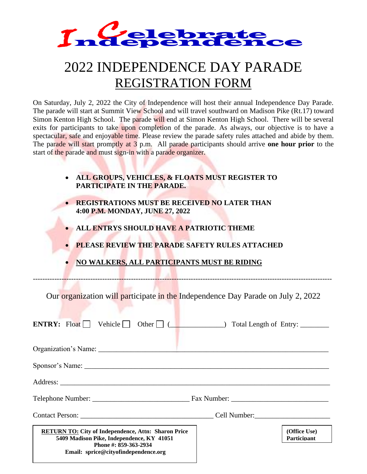

## 2022 INDEPENDENCE DAY PARADE REGISTRATION FORM

| • ALL GROUPS, VEHICLES, & FLOATS MUST REGISTER TO |
|---------------------------------------------------|
| PARTICIPATE IN THE PARADE.                        |

- **REGISTRATIONS MUST BE RECEIVED NO LATER THAN 4:00 P.M. MONDAY, JUNE 27, 2022**
- **ALL ENTRYS SHOULD HAVE A PATRIOTIC THEME**
- **PLEASE REVIEW THE PARADE SAFETY RULES ATTACHED**
- **NO WALKERS, ALL PARTICIPANTS MUST BE RIDING**

| <i><b>Tndependence</b></i>                                                                                                                                                                                                                                                                                                                                                                                                                                                                                                                                                                                                                                                                             |  |
|--------------------------------------------------------------------------------------------------------------------------------------------------------------------------------------------------------------------------------------------------------------------------------------------------------------------------------------------------------------------------------------------------------------------------------------------------------------------------------------------------------------------------------------------------------------------------------------------------------------------------------------------------------------------------------------------------------|--|
| 2022 INDEPENDENCE DAY PARADE<br><b>REGISTRATION FORM</b>                                                                                                                                                                                                                                                                                                                                                                                                                                                                                                                                                                                                                                               |  |
| On Saturday, July 2, 2022 the City of Independence will host their annual Independence Day Parade<br>The parade will start at Summit View School and will travel southward on Madison Pike (Rt.17) toward<br>Simon Kenton High School. The parade will end at Simon Kenton High School. There will be severa<br>exits for participants to take upon completion of the parade. As always, our objective is to have a<br>spectacular, safe and enjoyable time. Please review the parade safety rules attached and abide by them<br>The parade will start promptly at 3 p.m. All parade participants should arrive one hour prior to the<br>start of the parade and must sign-in with a parade organizer. |  |
| ALL GROUPS, VEHICLES, & FLOATS MUST REGISTER TO<br>$\bullet$<br>PARTICIPATE IN THE PARADE.                                                                                                                                                                                                                                                                                                                                                                                                                                                                                                                                                                                                             |  |
| <b>REGISTRATIONS MUST BE RECEIVED NO LATER THAN</b><br>4:00 P.M. MONDAY, JUNE 27, 2022<br>ALL ENTRYS SHOULD HAVE A PATRIOTIC THEME<br><b>PLEASE REVIEW THE PARADE SAFETY RULES ATTACHED</b><br>NO WALKERS, ALL PARTICIPANTS MUST BE RIDING                                                                                                                                                                                                                                                                                                                                                                                                                                                             |  |
| Our organization will participate in the Independence Day Parade on July 2, 2022<br><b>ENTRY:</b> Float $\Box$ Vehicle $\Box$ Other $\Box$ ( $\Box$ $\Box$ ) Total Length of Entry:                                                                                                                                                                                                                                                                                                                                                                                                                                                                                                                    |  |
|                                                                                                                                                                                                                                                                                                                                                                                                                                                                                                                                                                                                                                                                                                        |  |
|                                                                                                                                                                                                                                                                                                                                                                                                                                                                                                                                                                                                                                                                                                        |  |
|                                                                                                                                                                                                                                                                                                                                                                                                                                                                                                                                                                                                                                                                                                        |  |
|                                                                                                                                                                                                                                                                                                                                                                                                                                                                                                                                                                                                                                                                                                        |  |
|                                                                                                                                                                                                                                                                                                                                                                                                                                                                                                                                                                                                                                                                                                        |  |
| (Office Use)<br><b>RETURN TO: City of Independence, Attn: Sharon Price</b><br>5409 Madison Pike, Independence, KY 41051<br><b>Participant</b><br>Phone #: 859-363-2934<br>Email: sprice@cityofindependence.org                                                                                                                                                                                                                                                                                                                                                                                                                                                                                         |  |